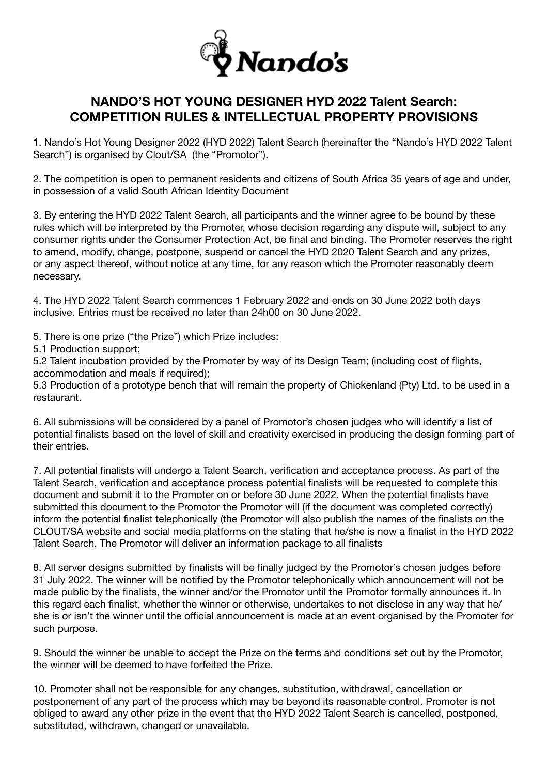

# **NANDO'S HOT YOUNG DESIGNER HYD 2022 Talent Search: COMPETITION RULES & INTELLECTUAL PROPERTY PROVISIONS**

1. Nando's Hot Young Designer 2022 (HYD 2022) Talent Search (hereinafter the "Nando's HYD 2022 Talent Search") is organised by Clout/SA (the "Promotor").

2. The competition is open to permanent residents and citizens of South Africa 35 years of age and under, in possession of a valid South African Identity Document

3. By entering the HYD 2022 Talent Search, all participants and the winner agree to be bound by these rules which will be interpreted by the Promoter, whose decision regarding any dispute will, subject to any consumer rights under the Consumer Protection Act, be final and binding. The Promoter reserves the right to amend, modify, change, postpone, suspend or cancel the HYD 2020 Talent Search and any prizes, or any aspect thereof, without notice at any time, for any reason which the Promoter reasonably deem necessary.

4. The HYD 2022 Talent Search commences 1 February 2022 and ends on 30 June 2022 both days inclusive. Entries must be received no later than 24h00 on 30 June 2022.

5. There is one prize ("the Prize") which Prize includes:

5.1 Production support;

5.2 Talent incubation provided by the Promoter by way of its Design Team; (including cost of flights, accommodation and meals if required);

5.3 Production of a prototype bench that will remain the property of Chickenland (Pty) Ltd. to be used in a restaurant.

6. All submissions will be considered by a panel of Promotor's chosen judges who will identify a list of potential finalists based on the level of skill and creativity exercised in producing the design forming part of their entries.

7. All potential finalists will undergo a Talent Search, verification and acceptance process. As part of the Talent Search, verification and acceptance process potential finalists will be requested to complete this document and submit it to the Promoter on or before 30 June 2022. When the potential finalists have submitted this document to the Promotor the Promotor will (if the document was completed correctly) inform the potential finalist telephonically (the Promotor will also publish the names of the finalists on the CLOUT/SA website and social media platforms on the stating that he/she is now a finalist in the HYD 2022 Talent Search. The Promotor will deliver an information package to all finalists

8. All server designs submitted by finalists will be finally judged by the Promotor's chosen judges before 31 July 2022. The winner will be notified by the Promotor telephonically which announcement will not be made public by the finalists, the winner and/or the Promotor until the Promotor formally announces it. In this regard each finalist, whether the winner or otherwise, undertakes to not disclose in any way that he/ she is or isn't the winner until the official announcement is made at an event organised by the Promoter for such purpose.

9. Should the winner be unable to accept the Prize on the terms and conditions set out by the Promotor, the winner will be deemed to have forfeited the Prize.

10. Promoter shall not be responsible for any changes, substitution, withdrawal, cancellation or postponement of any part of the process which may be beyond its reasonable control. Promoter is not obliged to award any other prize in the event that the HYD 2022 Talent Search is cancelled, postponed, substituted, withdrawn, changed or unavailable.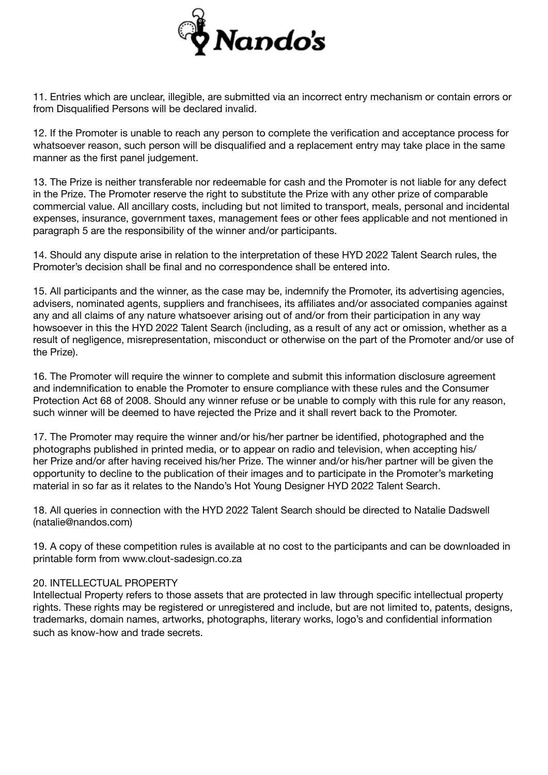

11. Entries which are unclear, illegible, are submitted via an incorrect entry mechanism or contain errors or from Disqualified Persons will be declared invalid.

12. If the Promoter is unable to reach any person to complete the verification and acceptance process for whatsoever reason, such person will be disqualified and a replacement entry may take place in the same manner as the first panel judgement.

13. The Prize is neither transferable nor redeemable for cash and the Promoter is not liable for any defect in the Prize. The Promoter reserve the right to substitute the Prize with any other prize of comparable commercial value. All ancillary costs, including but not limited to transport, meals, personal and incidental expenses, insurance, government taxes, management fees or other fees applicable and not mentioned in paragraph 5 are the responsibility of the winner and/or participants.

14. Should any dispute arise in relation to the interpretation of these HYD 2022 Talent Search rules, the Promoter's decision shall be final and no correspondence shall be entered into.

15. All participants and the winner, as the case may be, indemnify the Promoter, its advertising agencies, advisers, nominated agents, suppliers and franchisees, its affiliates and/or associated companies against any and all claims of any nature whatsoever arising out of and/or from their participation in any way howsoever in this the HYD 2022 Talent Search (including, as a result of any act or omission, whether as a result of negligence, misrepresentation, misconduct or otherwise on the part of the Promoter and/or use of the Prize).

16. The Promoter will require the winner to complete and submit this information disclosure agreement and indemnification to enable the Promoter to ensure compliance with these rules and the Consumer Protection Act 68 of 2008. Should any winner refuse or be unable to comply with this rule for any reason, such winner will be deemed to have rejected the Prize and it shall revert back to the Promoter.

17. The Promoter may require the winner and/or his/her partner be identified, photographed and the photographs published in printed media, or to appear on radio and television, when accepting his/ her Prize and/or after having received his/her Prize. The winner and/or his/her partner will be given the opportunity to decline to the publication of their images and to participate in the Promoter's marketing material in so far as it relates to the Nando's Hot Young Designer HYD 2022 Talent Search.

18. All queries in connection with the HYD 2022 Talent Search should be directed to Natalie Dadswell (natalie@nandos.com)

19. A copy of these competition rules is available at no cost to the participants and can be downloaded in printable form from www.clout-sadesign.co.za

### 20. INTELLECTUAL PROPERTY

Intellectual Property refers to those assets that are protected in law through specific intellectual property rights. These rights may be registered or unregistered and include, but are not limited to, patents, designs, trademarks, domain names, artworks, photographs, literary works, logo's and confidential information such as know-how and trade secrets.